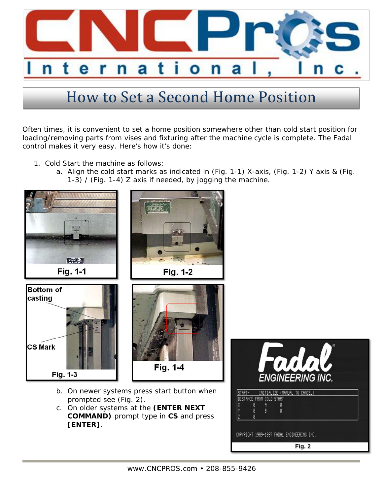

## How to Set a Second Home Position

Often times, it is convenient to set a home position somewhere other than cold start position for loading/removing parts from vises and fixturing after the machine cycle is complete. The Fadal control makes it very easy. Here's how it's done:

- 1. Cold Start the machine as follows:
	- a. Align the cold start marks as indicated in (Fig. 1-1) X-axis, (Fig. 1-2) Y axis & (Fig. 1-3) / (Fig. 1-4) Z axis if needed, by jogging the machine.